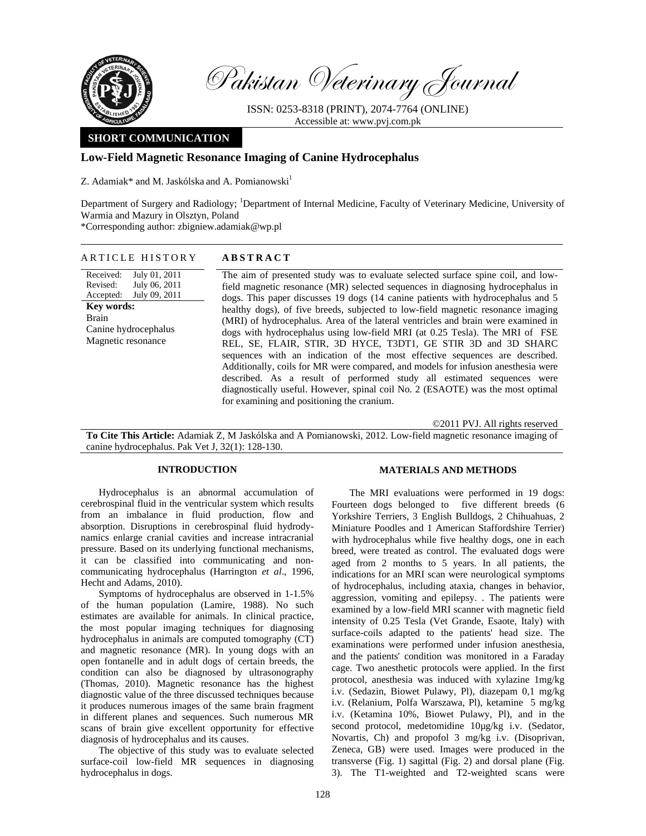

Pakistan Veterinary Journal

ISSN: 0253-8318 (PRINT), 2074-7764 (ONLINE) Accessible at: www.pvj.com.pk

## **SHORT COMMUNICATION**

# **Low-Field Magnetic Resonance Imaging of Canine Hydrocephalus**

Z. Adamiak\* and M. Jaskólska and A. Pomianowski<sup>1</sup>

Department of Surgery and Radiology; <sup>1</sup>Department of Internal Medicine, Faculty of Veterinary Medicine, University of Warmia and Mazury in Olsztyn, Poland \*Corresponding author: zbigniew.adamiak@wp.pl

ARTICLE HISTORY **ABSTRACT** 

Received: Revised: Accepted: July 01, 2011 July 06, 2011 July 09, 2011 **Key words:**  Brain Canine hydrocephalus Magnetic resonance

The aim of presented study was to evaluate selected surface spine coil, and lowfield magnetic resonance (MR) selected sequences in diagnosing hydrocephalus in dogs. This paper discusses 19 dogs (14 canine patients with hydrocephalus and 5 healthy dogs), of five breeds, subjected to low-field magnetic resonance imaging (MRI) of hydrocephalus. Area of the lateral ventricles and brain were examined in dogs with hydrocephalus using low-field MRI (at 0.25 Tesla). The MRI of FSE REL, SE, FLAIR, STIR, 3D HYCE, T3DT1, GE STIR 3D and 3D SHARC sequences with an indication of the most effective sequences are described. Additionally, coils for MR were compared, and models for infusion anesthesia were described. As a result of performed study all estimated sequences were diagnostically useful. However, spinal coil No. 2 (ESAOTE) was the most optimal for examining and positioning the cranium.

©2011 PVJ. All rights reserved

**To Cite This Article:** Adamiak Z, M Jaskólska and A Pomianowski, 2012. Low-field magnetic resonance imaging of canine hydrocephalus. Pak Vet J, 32(1): 128-130.

## **INTRODUCTION**

Hydrocephalus is an abnormal accumulation of cerebrospinal fluid in the ventricular system which results from an imbalance in fluid production, flow and absorption. Disruptions in cerebrospinal fluid hydrodynamics enlarge cranial cavities and increase intracranial pressure. Based on its underlying functional mechanisms, it can be classified into communicating and noncommunicating hydrocephalus (Harrington *et al*., 1996, Hecht and Adams, 2010).

Symptoms of hydrocephalus are observed in 1-1.5% of the human population (Lamire, 1988). No such estimates are available for animals. In clinical practice, the most popular imaging techniques for diagnosing hydrocephalus in animals are computed tomography (CT) and magnetic resonance (MR). In young dogs with an open fontanelle and in adult dogs of certain breeds, the condition can also be diagnosed by ultrasonography (Thomas, 2010). Magnetic resonance has the highest diagnostic value of the three discussed techniques because it produces numerous images of the same brain fragment in different planes and sequences. Such numerous MR scans of brain give excellent opportunity for effective diagnosis of hydrocephalus and its causes.

The objective of this study was to evaluate selected surface-coil low-field MR sequences in diagnosing hydrocephalus in dogs.

### **MATERIALS AND METHODS**

The MRI evaluations were performed in 19 dogs: Fourteen dogs belonged to five different breeds (6 Yorkshire Terriers, 3 English Bulldogs, 2 Chihuahuas, 2 Miniature Poodles and 1 American Staffordshire Terrier) with hydrocephalus while five healthy dogs, one in each breed, were treated as control. The evaluated dogs were aged from 2 months to 5 years. In all patients, the indications for an MRI scan were neurological symptoms of hydrocephalus, including ataxia, changes in behavior, aggression, vomiting and epilepsy. . The patients were examined by a low-field MRI scanner with magnetic field intensity of 0.25 Tesla (Vet Grande, Esaote, Italy) with surface-coils adapted to the patients' head size. The examinations were performed under infusion anesthesia, and the patients' condition was monitored in a Faraday cage. Two anesthetic protocols were applied. In the first protocol, anesthesia was induced with xylazine 1mg/kg i.v. (Sedazin, Biowet Pulawy, Pl), diazepam 0,1 mg/kg i.v. (Relanium, Polfa Warszawa, Pl), ketamine 5 mg/kg i.v. (Ketamina 10%, Biowet Pulawy, Pl), and in the second protocol, medetomidine  $10\mu$ g/kg i.v. (Sedator, Novartis, Ch) and propofol 3 mg/kg i.v. (Disoprivan, Zeneca, GB) were used. Images were produced in the transverse (Fig. 1) sagittal (Fig. 2) and dorsal plane (Fig. 3). The T1-weighted and T2-weighted scans were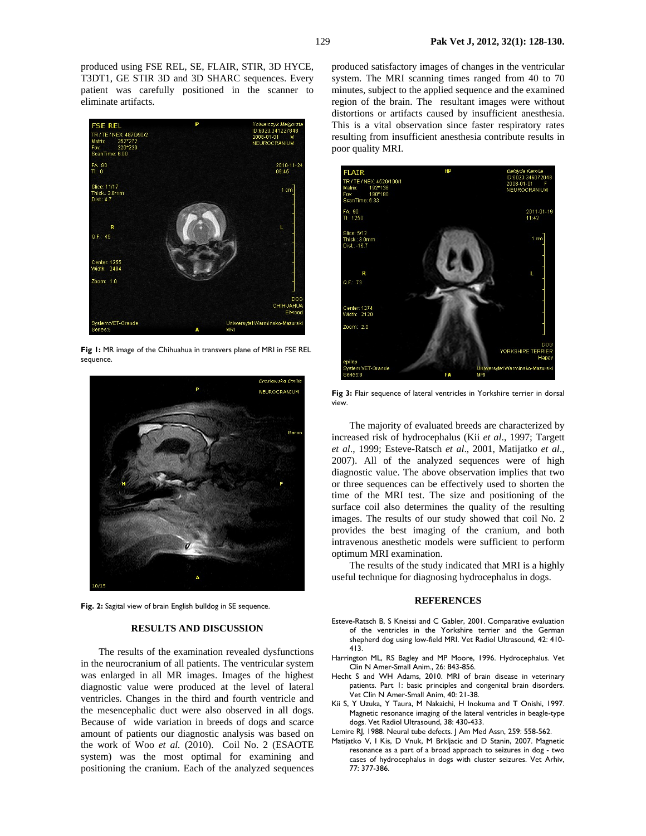produced using FSE REL, SE, FLAIR, STIR, 3D HYCE, T3DT1, GE STIR 3D and 3D SHARC sequences. Every patient was carefully positioned in the scanner to eliminate artifacts.



**Fig 1:** MR image of the Chihuahua in transvers plane of MRI in FSE REL sequence.



**Fig. 2:** Sagital view of brain English bulldog in SE sequence.

## **RESULTS AND DISCUSSION**

The results of the examination revealed dysfunctions in the neurocranium of all patients. The ventricular system was enlarged in all MR images. Images of the highest diagnostic value were produced at the level of lateral ventricles. Changes in the third and fourth ventricle and the mesencephalic duct were also observed in all dogs. Because of wide variation in breeds of dogs and scarce amount of patients our diagnostic analysis was based on the work of Woo *et al.* (2010). Coil No. 2 (ESAOTE system) was the most optimal for examining and positioning the cranium. Each of the analyzed sequences

produced satisfactory images of changes in the ventricular system. The MRI scanning times ranged from 40 to 70 minutes, subject to the applied sequence and the examined region of the brain. The resultant images were without distortions or artifacts caused by insufficient anesthesia. This is a vital observation since faster respiratory rates resulting from insufficient anesthesia contribute results in poor quality MRI.



**Fig 3:** Flair sequence of lateral ventricles in Yorkshire terrier in dorsal view.

The majority of evaluated breeds are characterized by increased risk of hydrocephalus (Kii *et al*., 1997; Targett *et al*., 1999; Esteve-Ratsch *et al*., 2001, Matijatko *et al*., 2007). All of the analyzed sequences were of high diagnostic value. The above observation implies that two or three sequences can be effectively used to shorten the time of the MRI test. The size and positioning of the surface coil also determines the quality of the resulting images. The results of our study showed that coil No. 2 provides the best imaging of the cranium, and both intravenous anesthetic models were sufficient to perform optimum MRI examination.

The results of the study indicated that MRI is a highly useful technique for diagnosing hydrocephalus in dogs.

#### **REFERENCES**

- Esteve-Ratsch B, S Kneissi and C Gabler, 2001. Comparative evaluation of the ventricles in the Yorkshire terrier and the German shepherd dog using low-field MRI. Vet Radiol Ultrasound, 42: 410- 413.
- Harrington ML, RS Bagley and MP Moore, 1996. Hydrocephalus. Vet Clin N Amer-Small Anim., 26: 843-856.
- Hecht S and WH Adams, 2010. MRI of brain disease in veterinary patients. Part 1: basic principles and congenital brain disorders. Vet Clin N Amer-Small Anim, 40: 21-38.
- Kii S, Y Uzuka, Y Taura, M Nakaichi, H Inokuma and T Onishi, 1997. Magnetic resonance imaging of the lateral ventricles in beagle-type dogs. Vet Radiol Ultrasound, 38: 430-433.
- Lemire RJ, 1988. Neural tube defects. J Am Med Assn, 259: 558-562.
- Matijatko V, I Kis, D Vnuk, M Brkljacic and D Stanin, 2007. Magnetic resonance as a part of a broad approach to seizures in dog - two cases of hydrocephalus in dogs with cluster seizures. Vet Arhiv, 77: 377-386.